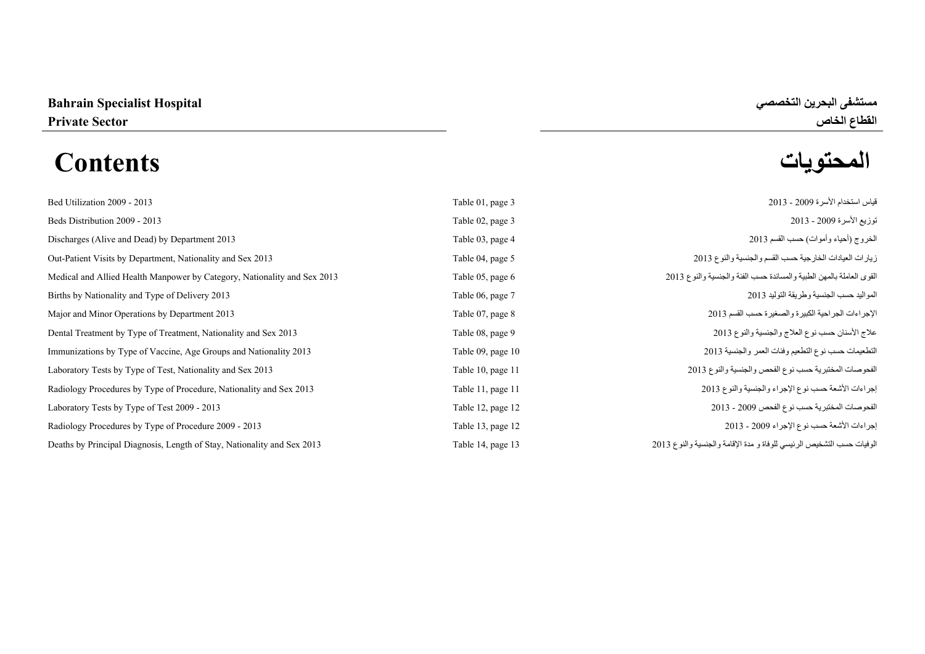# القطاع الخاص المستخدمة المستخدمة المستخدمة المستخدمة المستخدمة المستخدمة المستخدمة المستخدمة المستخدمة المستخدم<br>ال<mark>محتويات المحتويات</mark> **المحتويات Contents**

| Bed Utilization 2009 - 2013                                              | Table 01, page 3  | قياس استخدام الأسر ة 2009 - 2013                                      |
|--------------------------------------------------------------------------|-------------------|-----------------------------------------------------------------------|
| Beds Distribution 2009 - 2013                                            | Table 02, page 3  | توزيع الأسرة 2009 - 2013                                              |
| Discharges (Alive and Dead) by Department 2013                           | Table 03, page 4  | الخروج (أحياء وأموات) حسب القسم 2013                                  |
| Out-Patient Visits by Department, Nationality and Sex 2013               | Table 04, page 5  | زيارات العيادات الخارجية حسب القسم والجنسية والنوع 2013               |
| Medical and Allied Health Manpower by Category, Nationality and Sex 2013 | Table 05, page 6  | القوى العاملة بالمهن الطبية والمساندة حسب الفئة والجنسية والنوع 2013  |
| Births by Nationality and Type of Delivery 2013                          | Table 06, page 7  | المو اليد حسب الجنسية و طر يقة التو ليد 2013                          |
| Major and Minor Operations by Department 2013                            | Table 07, page 8  | الإجراءات الجراحية الكبيرة والصغيرة حسب القسم 2013                    |
| Dental Treatment by Type of Treatment, Nationality and Sex 2013          | Table 08, page 9  | علاج الأسنان حسب نوع العلاج والجنسية والنوع 2013                      |
| Immunizations by Type of Vaccine, Age Groups and Nationality 2013        | Table 09, page 10 | التطعيمات حسب نوع التطعيم وفئات العمر والجنسية 2013                   |
| Laboratory Tests by Type of Test, Nationality and Sex 2013               | Table 10, page 11 | الفحوصات المختبرية حسب نوع الفحص والجنسية والنوع 2013                 |
| Radiology Procedures by Type of Procedure, Nationality and Sex 2013      | Table 11, page 11 | إجراءات الأشعة حسب نوع الإجراء والجنسية والنوع 2013                   |
| Laboratory Tests by Type of Test 2009 - 2013                             | Table 12, page 12 | الفحوصات المختبرية حسب نوع الفحص 2009 - 2013                          |
| Radiology Procedures by Type of Procedure 2009 - 2013                    | Table 13, page 12 | إجراءات الأشعة حسب نوع الإجراء 2009 - 2013                            |
| Deaths by Principal Diagnosis, Length of Stay, Nationality and Sex 2013  | Table 14, page 13 | الوفيات حسب التشخيص الرئيسي للوفاة و مدة الإقامة والجنسية والنوع 2013 |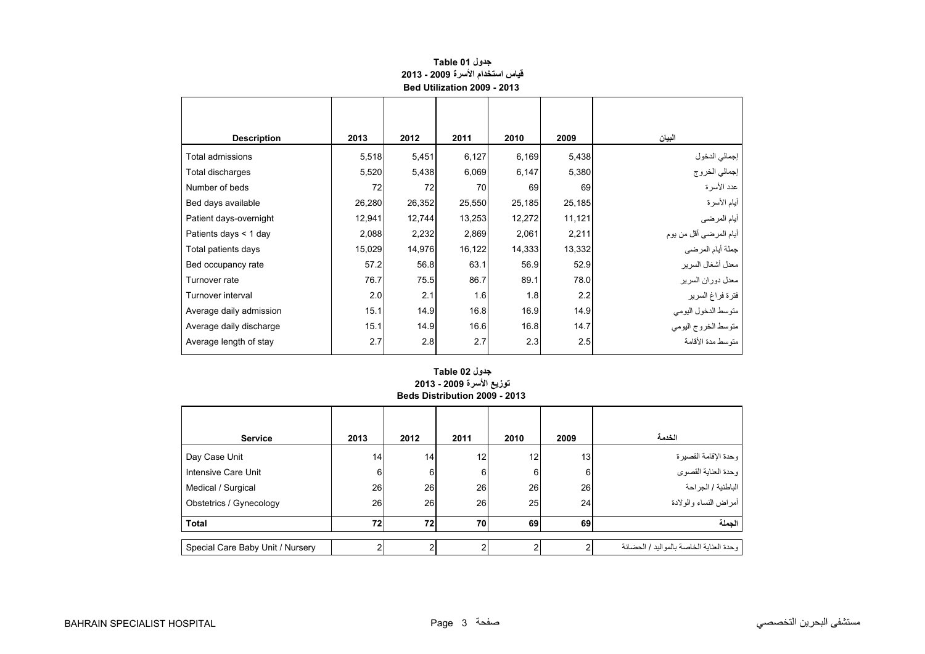<span id="page-1-0"></span>

| <b>Description</b>      | 2013   | 2012   | 2011   | 2010   | 2009   | البيان                 |
|-------------------------|--------|--------|--------|--------|--------|------------------------|
| Total admissions        | 5,518  | 5,451  | 6,127  | 6,169  | 5,438  | إجمالي الدخول          |
| Total discharges        | 5,520  | 5,438  | 6,069  | 6,147  | 5,380  | إجمالي الخروج          |
| Number of beds          | 72     | 72     | 70     | 69     | 69     | عدد الأسرة             |
| Bed days available      | 26,280 | 26,352 | 25,550 | 25,185 | 25,185 | أيام الأسرة            |
| Patient days-overnight  | 12,941 | 12,744 | 13,253 | 12,272 | 11,121 | أيام المرضي            |
| Patients days < 1 day   | 2,088  | 2,232  | 2,869  | 2,061  | 2,211  | أيام المرضى أقل من بوم |
| Total patients days     | 15,029 | 14,976 | 16,122 | 14,333 | 13,332 | جملة أيام المرضي       |
| Bed occupancy rate      | 57.2   | 56.8   | 63.1   | 56.9   | 52.9   | معدل أشغال السرير      |
| Turnover rate           | 76.7   | 75.5   | 86.7   | 89.1   | 78.0   | معدل دوران السرير      |
| Turnover interval       | 2.0    | 2.1    | 1.6    | 1.8    | 2.2    | فترة فراغ السرير       |
| Average daily admission | 15.1   | 14.9   | 16.8   | 16.9   | 14.9   | متوسط الدخول اليومي    |
| Average daily discharge | 15.1   | 14.9   | 16.6   | 16.8   | 14.7   | متوسط الخروج اليومى    |
| Average length of stay  | 2.7    | 2.8    | 2.7    | 2.3    | 2.5    | متوسط مدة الأقامة      |

# **جدول 01 Table قياس استخدام األسرة 2009 - 2013 Bed Utilization 2009 - 2013**

# **Beds Distribution 2009 - 2013 جدول 02 Table توزيع األسرة 2009 - 2013**

| <b>Service</b>                   | 2013 | 2012 | 2011 | 2010 | 2009            | الخدمة                                  |
|----------------------------------|------|------|------|------|-----------------|-----------------------------------------|
| Day Case Unit                    | 14   | 14   | 12   | 12   | 13 <sub>1</sub> | وحدة الإقامة القصيرة                    |
| Intensive Care Unit              | 6    | 6    | 6    | 6    | 6               | وحدة العناية القصوى                     |
| Medical / Surgical               | 26   | 26   | 26   | 26   | 26              | الباطنية / الجراحة                      |
| Obstetrics / Gynecology          | 26   | 26   | 26   | 25   | 24              | أمراض النساء والولادة                   |
| <b>Total</b>                     | 72   | 72   | 70   | 69   | 69              | الحملة                                  |
| Special Care Baby Unit / Nursery | ົ    |      | ⌒    | 2    |                 | وحدة العناية الخاصة بالمواليد / الحضانة |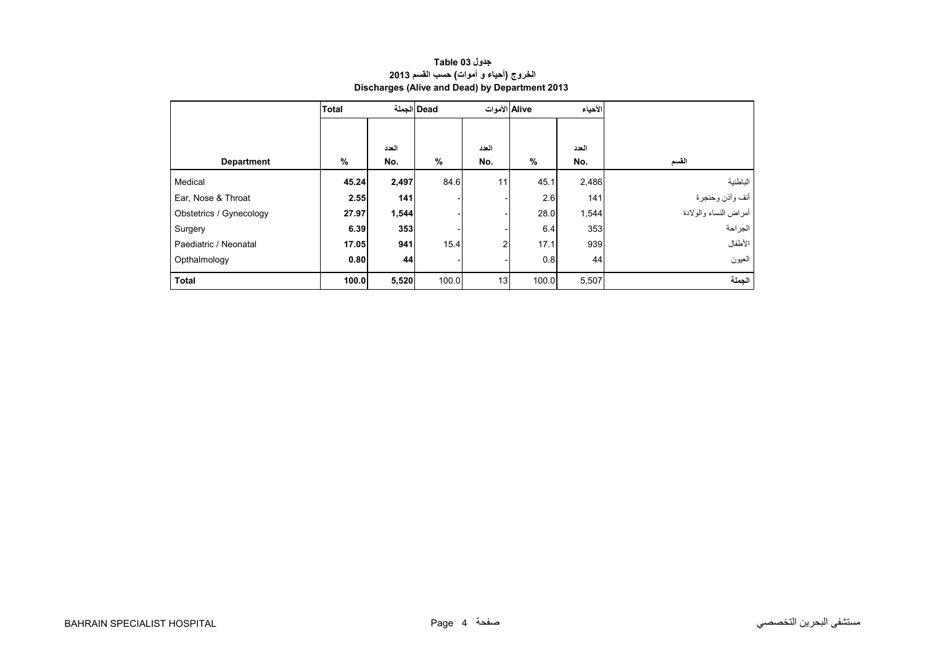<span id="page-2-0"></span>

|                         | <b>Total</b> |       | Dead  الجملة | Alive الأموات  |       | الأحياء |                       |
|-------------------------|--------------|-------|--------------|----------------|-------|---------|-----------------------|
|                         |              |       |              |                |       |         |                       |
|                         |              | العدد |              | العدد          |       | العدد   |                       |
| <b>Department</b>       | $\%$         | No.   | $\%$         | No.            | $\%$  | No.     | القسم                 |
| Medical                 | 45.24        | 2,497 | 84.6         | 11             | 45.1  | 2,486   | الباطنية              |
| Ear, Nose & Throat      | 2.55         | 141   |              |                | 2.6   | 141     | أنف وأذن وحنجرة       |
| Obstetrics / Gynecology | 27.97        | 1,544 |              |                | 28.0  | 1,544   | أمراض النساء والولادة |
| Surgery                 | 6.39         | 353   |              |                | 6.4   | 353     | الجراحة               |
| Paediatric / Neonatal   | 17.05        | 941   | 15.4         | $\overline{2}$ | 17.1  | 939     | الأطفال               |
| Opthalmology            | 0.80         | 44    |              |                | 0.8   | 44      | العيون                |
| <b>Total</b>            | 100.0        | 5,520 | 100.0        | 13             | 100.0 | 5,507   | الجملة                |

# **جدول 03 Table الخروج (أحياء <sup>و</sup> أموات) حسب القسم <sup>2013</sup> Discharges (Alive and Dead) by Department 2013**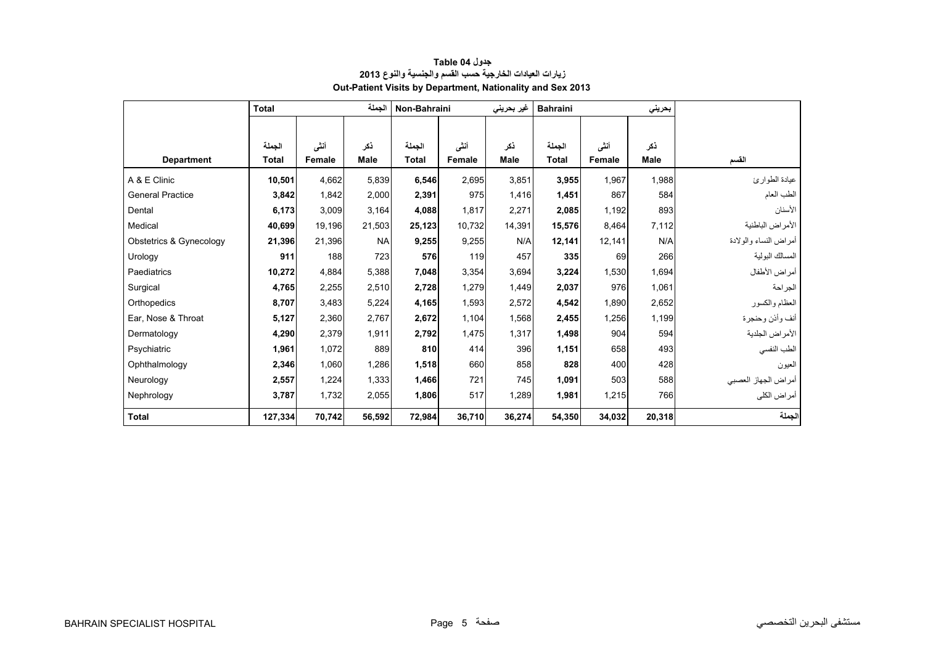<span id="page-3-0"></span>

|                         | <b>Total</b> |        | الجملة      | Non-Bahraini |               | غير بحريني  | <b>Bahraini</b> |        | بحريني      |                       |
|-------------------------|--------------|--------|-------------|--------------|---------------|-------------|-----------------|--------|-------------|-----------------------|
|                         |              |        |             |              |               |             |                 |        |             |                       |
|                         | الجملة       | أنشى   | ذكر         | الجملة       | أنشى          | ذكر         | الجملة          | أنشى   | ذكر         |                       |
| <b>Department</b>       | <b>Total</b> | Female | <b>Male</b> | <b>Total</b> | <b>Female</b> | <b>Male</b> | <b>Total</b>    | Female | <b>Male</b> | القسم                 |
| A & E Clinic            | 10,501       | 4,662  | 5,839       | 6,546        | 2,695         | 3,851       | 3,955           | 1,967  | 1,988       | عيادة الطوارئ         |
| <b>General Practice</b> | 3,842        | 1,842  | 2,000       | 2,391        | 975           | 1,416       | 1,451           | 867    | 584         | الطب العام            |
| Dental                  | 6,173        | 3,009  | 3.164       | 4,088        | 1,817         | 2,271       | 2,085           | 1,192  | 893         | الأسنان               |
| Medical                 | 40,699       | 19,196 | 21,503      | 25,123       | 10.732        | 14,391      | 15,576          | 8,464  | 7.112       | الأمراض الباطنية      |
| Obstetrics & Gynecology | 21,396       | 21,396 | <b>NA</b>   | 9,255        | 9,255         | N/A         | 12,141          | 12,141 | N/A         | أمراض النساء والولادة |
| Urology                 | 911          | 188    | 723         | 576          | 119           | 457         | 335             | 69     | 266         | المسالك البولية       |
| Paediatrics             | 10,272       | 4,884  | 5,388       | 7,048        | 3,354         | 3,694       | 3,224           | 1,530  | 1,694       | أمراض الأطفال         |
| Surgical                | 4,765        | 2,255  | 2,510       | 2,728        | 1,279         | 1,449       | 2,037           | 976    | 1,061       | الجراحة               |
| Orthopedics             | 8,707        | 3,483  | 5,224       | 4,165        | 1,593         | 2,572       | 4,542           | 1,890  | 2,652       | العظام والكسور        |
| Ear. Nose & Throat      | 5,127        | 2,360  | 2,767       | 2,672        | 1,104         | 1,568       | 2,455           | 1,256  | 1,199       | أنف وأذن وحنجرة       |
| Dermatology             | 4,290        | 2,379  | 1.911       | 2,792        | 1,475         | 1,317       | 1,498           | 904    | 594         | الأمراض الجلدية       |
| Psychiatric             | 1,961        | 1,072  | 889         | 810          | 414           | 396         | 1,151           | 658    | 493         | الطب النفسي           |
| Ophthalmology           | 2,346        | 1,060  | 1,286       | 1,518        | 660           | 858         | 828             | 400    | 428         | العيون                |
| Neurology               | 2,557        | 1,224  | 1,333       | 1,466        | 721           | 745         | 1,091           | 503    | 588         | أمراض الجهاز العصبي   |
| Nephrology              | 3,787        | 1,732  | 2,055       | 1,806        | 517           | 1,289       | 1,981           | 1,215  | 766         | أمراض الكلي           |
| <b>Total</b>            | 127,334      | 70,742 | 56,592      | 72,984       | 36,710        | 36,274      | 54,350          | 34,032 | 20,318      | الجملة                |

# **جدول 04 Table زيارات العيادات الخارجية حسب القسم والجنسية والنوع <sup>2013</sup> Out-Patient Visits by Department, Nationality and Sex 2013**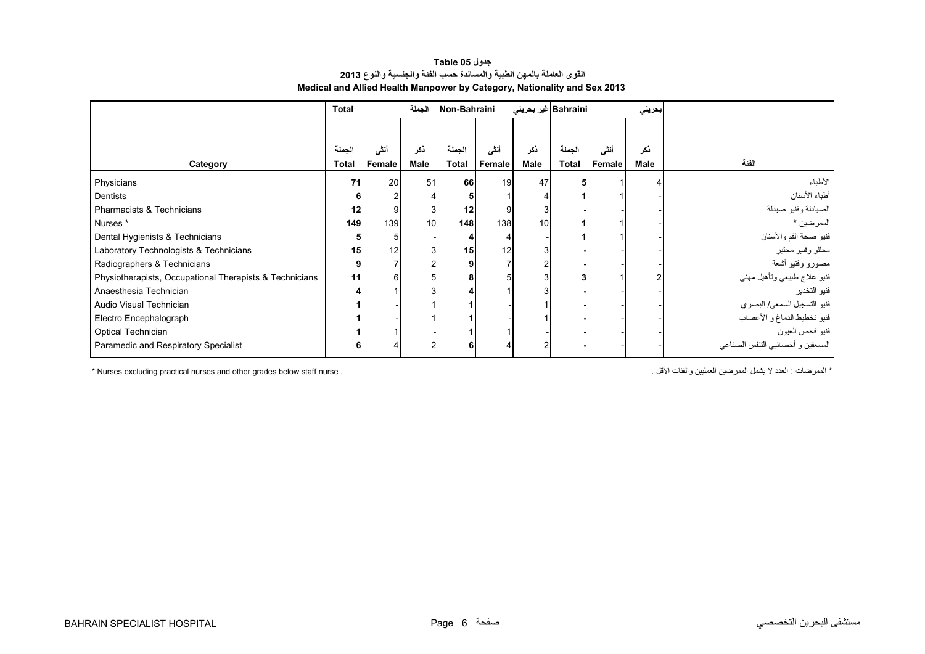### **جدول 05 Table القوى العاملة بالمھن الطبية والمساندة حسب الفئة والجنسية والنوع <sup>2013</sup> Medical and Allied Health Manpower by Category, Nationality and Sex 2013**

<span id="page-4-0"></span>

|                                                         | <b>Total</b>           |                | الجملة      | Non-Bahraini           |                | Bahraini غیر بحریئی |                        |                       | بحريني      |                                   |
|---------------------------------------------------------|------------------------|----------------|-------------|------------------------|----------------|---------------------|------------------------|-----------------------|-------------|-----------------------------------|
|                                                         |                        |                |             |                        |                |                     |                        |                       |             |                                   |
| Category                                                | الجملة<br><b>Total</b> | أننى<br>Female | ذكر<br>Male | الجملة<br><b>Total</b> | أننى<br>Female | نكر<br>Male         | الجملة<br><b>Total</b> | أنشى<br><b>Female</b> | ڏکر<br>Male | الفئة                             |
| Physicians                                              | 71                     | 20             | 51          | 66                     | 19             | 47                  |                        |                       |             | الأطباء                           |
| Dentists                                                |                        |                |             |                        |                |                     |                        |                       |             | أطباء الأسنان                     |
| Pharmacists & Technicians                               | 12                     |                | 3           | 12                     | 9              |                     |                        |                       |             | الصيادلة وفنيو صيدلة              |
| Nurses *                                                | 149                    | 139            | 10          | 148                    | 138            | 10                  |                        |                       |             | الممرضين *                        |
| Dental Hygienists & Technicians                         |                        |                |             |                        | 4              |                     |                        |                       |             | فنيو صحة الفم والأسنان            |
| Laboratory Technologists & Technicians                  | 15                     | 12             | 3           | 15                     | 12             |                     |                        |                       |             | محللو وفنيو مختبر                 |
| Radiographers & Technicians                             | 9                      |                | 2           |                        | 7              |                     |                        |                       |             | مصورو وفنيو أشعة                  |
| Physiotherapists, Occupational Therapists & Technicians | 11                     |                | 5           |                        | 5              |                     |                        |                       |             | فنيو علاج طبيعي وتأهيل مهني       |
| Anaesthesia Technician                                  |                        |                |             |                        |                |                     |                        |                       |             | فنيو التخدير                      |
| Audio Visual Technician                                 |                        |                |             |                        |                |                     |                        |                       |             | فنيو التسجيل السمعي/ البصري       |
| Electro Encephalograph                                  |                        |                |             |                        |                |                     |                        |                       |             | فنيو تخطيط الدماغ و الأعصاب       |
| Optical Technician                                      |                        |                |             |                        |                |                     |                        |                       |             | فنيو فحص العيون                   |
| Paramedic and Respiratory Specialist                    |                        |                | 2           | հ                      | 4              |                     |                        |                       |             | المسعفين و أخصائيي التنفس الصناعي |

\* الممرضات : الحدد لا يشمل الممرضين العمليين والفئات الأقل . . . . . . . Nurses excluding practical nurses and other grades below staff nurse .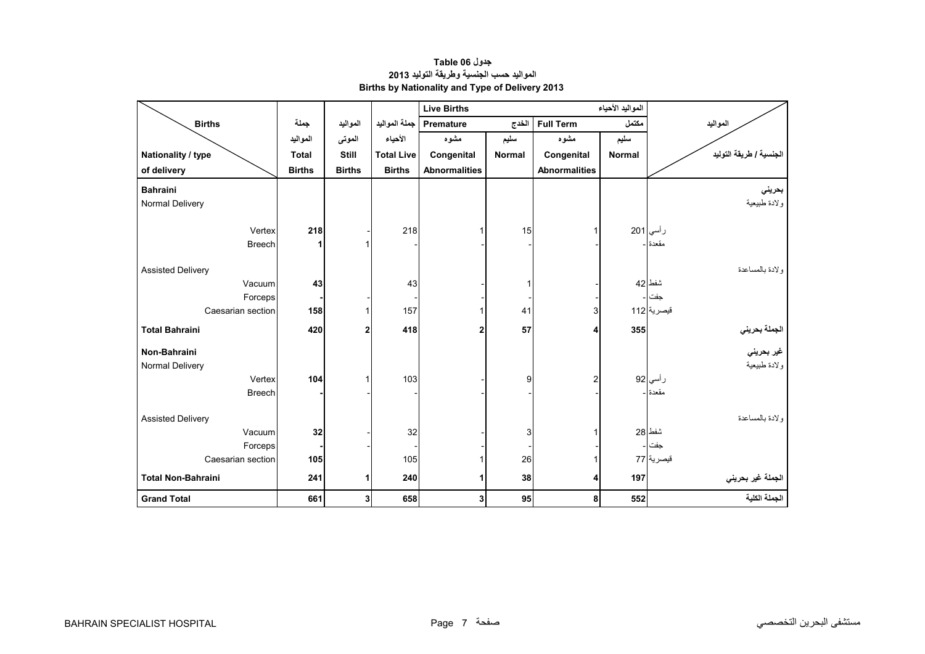#### <span id="page-5-0"></span>**المواليد األحياء Births Live المواليد مكتمل Term Full الخدج Premature جملة المواليد المواليد جملة Births سليم مشوه سليم مشوه األحياء الموتى المواليد Nationality / type Total Still Total Live Congenital Normal Congenital Normal التوليد طريقة / الجنسية of delivery Births Births Births Abnormalities Abnormalities بحريني Bahraini**  ولادة طبيعية المستحدة المستحدة المستحدة المستحدة المستحدة المستحدة المستحدة المستحدة المستحدة المستحدة المستحد رأسي <sup>201</sup> <sup>1</sup> <sup>15</sup> <sup>1</sup> <sup>218</sup> - **<sup>218</sup>** Vertex مقعدة -- -- 1- **1** Breech والدة بالمساعدة Delivery Assisted شفط 42 - 1 - 43 **43** Vacuum جفت -- -- -- **-** Forceps Caesarian section<mark>158 112 | 158</mark> 157 | 157 | 157 | 158 | 112 | 158 **الجملة بحريني <sup>355</sup> <sup>4</sup> <sup>57</sup> <sup>2</sup> <sup>418</sup> <sup>2</sup> <sup>420</sup> Bahraini Total غير بحريني Bahraini-Non**  ولادة طبيعية المستحدة المستحدة المستحدة المستحدة المستحدة المستحدة المستحدة المستحدة المستحدة المستحدة المستحد رأ**سي|92 |2 |2 104 |103 |** | 103 |2 | 104 |103 |2 | 104 | مقعدة -- -- -- **-** Breech والدة بالمساعدة Delivery Assisted شفط 28 1 3 - 32 - **32** Vacuum جفت -- -- -- **-** Forceps Caesarian section **105** 105 1 26 1 77 قيصرية **الجملة غير بحريني <sup>197</sup> <sup>4</sup> <sup>38</sup> <sup>1</sup> <sup>240</sup> <sup>1</sup> <sup>241</sup> Bahraini-Non Total الجملة الكلية 552 8 95 3 658 3 661 Total Grand**

#### **جدول 06 Table المواليد حسب الجنسية وطريقة التوليد <sup>2013</sup> Births by Nationality and Type of Delivery 2013**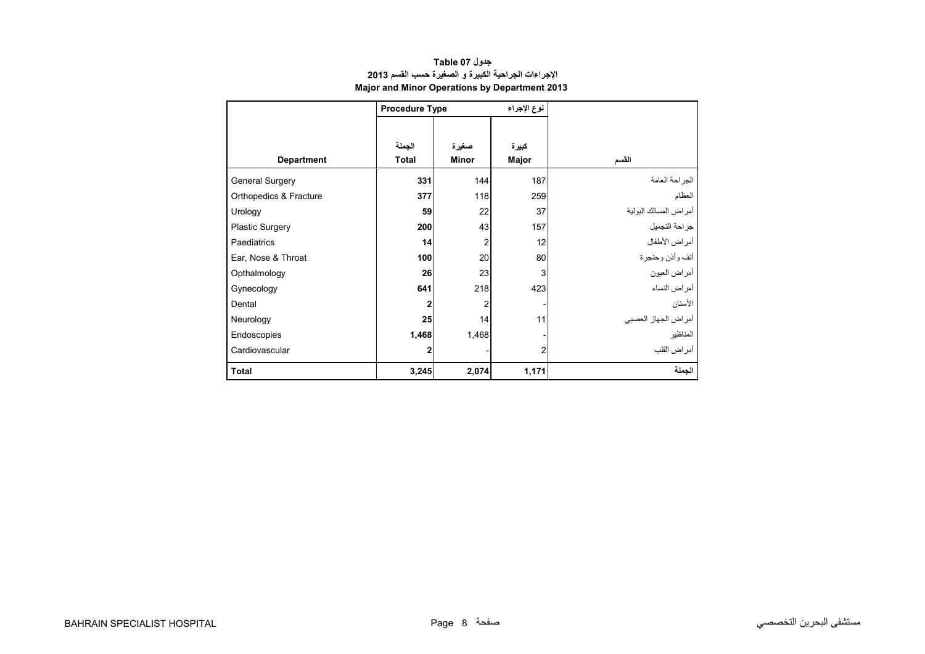<span id="page-6-0"></span>

|                        | <b>Procedure Type</b>  |                         |                         |                       |
|------------------------|------------------------|-------------------------|-------------------------|-----------------------|
| <b>Department</b>      | الجملة<br><b>Total</b> | صغيرة<br><b>Minor</b>   | كبيرة<br>Major          | القسم                 |
| General Surgery        | 331                    | 144                     | 187                     | الجراحة العامة        |
| Orthopedics & Fracture | 377                    | 118                     | 259                     | العظام                |
| Urology                | 59                     | 22                      | 37                      | أمراض المسالك البولية |
| <b>Plastic Surgery</b> | 200                    | 43                      | 157                     | جراحة التجميل         |
| Paediatrics            | 14                     | $\overline{\mathbf{c}}$ | 12                      | أمراض الأطفال         |
| Ear, Nose & Throat     | 100                    | 20                      | 80                      | أنف وأذن وحنجرة       |
| Opthalmology           | 26                     | 23                      | 3                       | أمراض العيون          |
| Gynecology             | 641                    | 218                     | 423                     | أمراض النساء          |
| Dental                 | 2                      | $\overline{\mathbf{c}}$ |                         | الأسنان               |
| Neurology              | 25                     | 14                      | 11                      | أمراض الجهاز العصبي   |
| Endoscopies            | 1,468                  | 1,468                   |                         | المناظير              |
| Cardiovascular         | 2                      |                         | $\overline{\mathbf{c}}$ | أمراض القلب           |
| <b>Total</b>           | 3,245                  | 2,074                   | 1,171                   | الجملة                |

# **جدول 07 Table اإلجراءات الجراحية الكبيرة <sup>و</sup> الصغيرة حسب القسم <sup>2013</sup> Major and Minor Operations by Department 2013**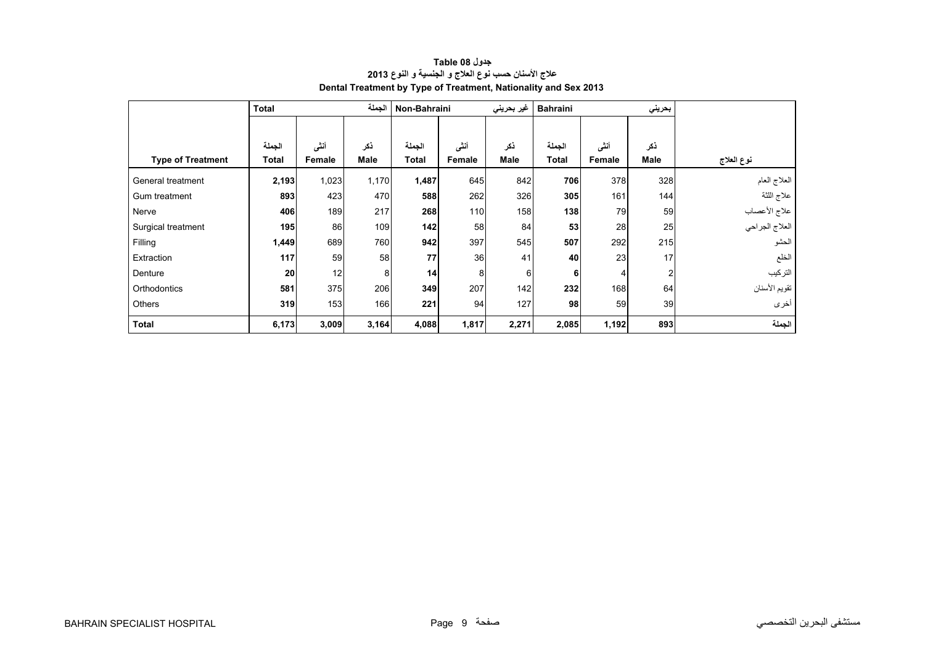<span id="page-7-0"></span>

|                          | <b>Total</b> |        | الجملة      | Non-Bahraini |        | غير بحريني  | <b>Bahraini</b> |        | بحريني         |                     |
|--------------------------|--------------|--------|-------------|--------------|--------|-------------|-----------------|--------|----------------|---------------------|
|                          |              |        |             |              |        |             |                 |        |                |                     |
|                          | الجملة       | أنشى   | ذكر         | الجملة       | أنشى   | ذكر         | الجملة          | أننى   | نكر            |                     |
| <b>Type of Treatment</b> | Total        | Female | <b>Male</b> | <b>Total</b> | Female | <b>Male</b> | <b>Total</b>    | Female | Male           | نوع العلاج          |
| General treatment        | 2,193        | 1,023  | 1,170       | 1,487        | 645    | 842         | 706             | 378    | 328            | العلاج العام        |
| Gum treatment            | 893          | 423    | 470         | 588          | 262    | 326         | 305             | 161    | 144            | علاج اللثة          |
| Nerve                    | 406          | 189    | 217         | 268          | 110    | 158         | 138             | 79     | 59             | علاج الأعصاب        |
| Surgical treatment       | 195          | 86     | 109         | 142          | 58     | 84          | 53              | 28     | 25             | ا<br>العلاج الجراحي |
| Filling                  | 1,449        | 689    | 760         | 942          | 397    | 545         | 507             | 292    | 215            | الحشو               |
| Extraction               | 117          | 59     | 58          | 77           | 36     | 41          | 40              | 23     | 17             | الخلع               |
| Denture                  | 20           | 12     | 8           | 14           | 8      | 6           | 6               |        | $\overline{2}$ | التركيب             |
| Orthodontics             | 581          | 375    | 206         | 349          | 207    | 142         | 232             | 168    | 64             | تقويم الأسنان       |
| Others                   | 319          | 153    | 166         | 221          | 94     | 127         | 98              | 59     | 39             | أخرى                |
| <b>Total</b>             | 6,173        | 3,009  | 3,164       | 4,088        | 1,817  | 2,271       | 2,085           | 1,192  | 893            | الجملة              |

# **جدول 08 Table عالج األسنان حسب نوع العالج <sup>و</sup> الجنسية <sup>و</sup> النوع <sup>2013</sup> Dental Treatment by Type of Treatment, Nationality and Sex 2013**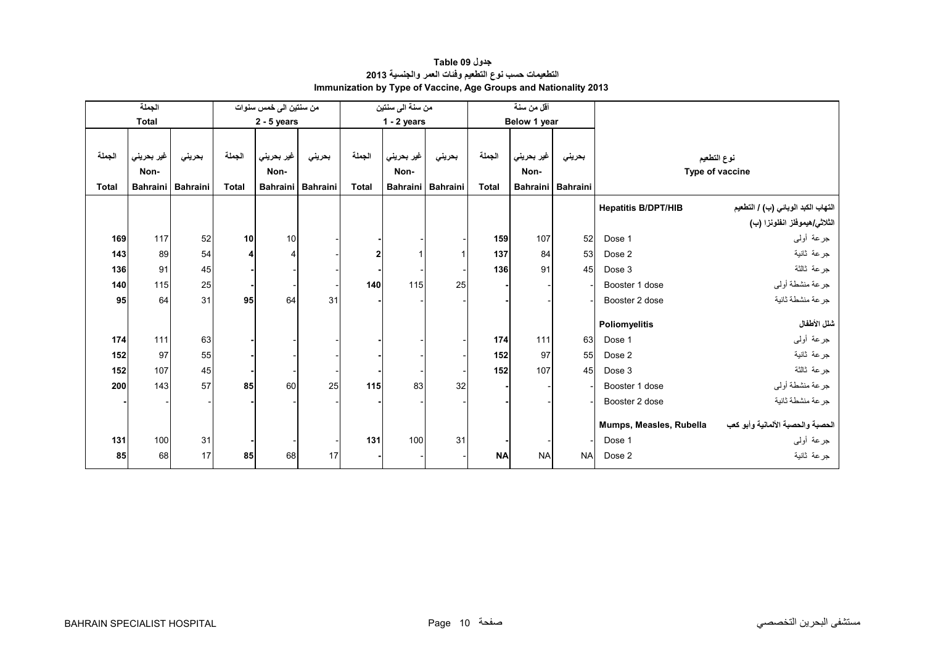<span id="page-8-0"></span>

|              | الجملة          |                 |              | من سنتين الى خمس سنوات |          |                | من سنة الى سنتين                |                   |              | أقل من سنة         |                   |                            |                                    |
|--------------|-----------------|-----------------|--------------|------------------------|----------|----------------|---------------------------------|-------------------|--------------|--------------------|-------------------|----------------------------|------------------------------------|
|              | <b>Total</b>    |                 |              | $2 - 5$ years          |          |                | $1 - 2$ years                   |                   |              | Below 1 year       |                   |                            |                                    |
|              |                 |                 |              |                        |          |                |                                 |                   |              |                    |                   |                            |                                    |
| الجملة       | غير بحريني      | بحريني          | الجملة       | غير بحريني             | بحريني   | الجملة         | <sub>ا</sub> غير بحرين <i>ي</i> | بحريني            | الجملة       | غير بحرين <i>ي</i> | بحريني            |                            | نوع التطعيم                        |
|              | Non-            |                 |              | Non-                   |          |                | Non-                            |                   |              | Non-               |                   |                            | Type of vaccine                    |
| <b>Total</b> | <b>Bahraini</b> | <b>Bahraini</b> | <b>Total</b> | <b>Bahraini</b>        | Bahraini | <b>Total</b>   |                                 | Bahraini Bahraini | <b>Total</b> |                    | Bahraini Bahraini |                            |                                    |
|              |                 |                 |              |                        |          |                |                                 |                   |              |                    |                   | <b>Hepatitis B/DPT/HIB</b> | التهاب الكبد الوبائي (ب) / التطعيم |
|              |                 |                 |              |                        |          |                |                                 |                   |              |                    |                   |                            | الثلاثي/هيموفلز انفلونزا (ب)       |
| 169          | 117             | 52              | 10           | 10                     |          |                |                                 |                   | 159          | 107                | 52                | Dose 1                     | جرعة أولىي                         |
| 143          | 89              | 54              | 4            |                        |          | $\overline{2}$ |                                 |                   | 137          | 84                 | 53                | Dose 2                     | جرعة ثانية                         |
| 136          | 91              | 45              |              |                        |          |                |                                 |                   | 136          | 91                 | 45                | Dose 3                     | جرعة ثالثة                         |
| 140          | 115             | 25              |              |                        |          | 140            | 115                             | 25                |              |                    |                   | Booster 1 dose             | جرعة منشطة أوليي                   |
| 95           | 64              | 31              | 95           | 64                     | 31       |                |                                 |                   |              |                    |                   | Booster 2 dose             | جرعة منشطة ثانية                   |
|              |                 |                 |              |                        |          |                |                                 |                   |              |                    |                   |                            |                                    |
|              |                 |                 |              |                        |          |                |                                 |                   |              |                    |                   | Poliomyelitis              | شلل الأطفال                        |
| 174          | 111             | 63              |              |                        |          |                |                                 |                   | 174          | 111                | 63                | Dose 1                     | جرعة أولىي                         |
| 152          | 97              | 55              |              |                        |          |                |                                 |                   | 152          | 97                 | 55                | Dose 2                     | جرعة ثانية                         |
| 152          | 107             | 45              |              |                        |          |                |                                 |                   | 152          | 107                | 45                | Dose 3                     | جرعة ثالثة                         |
| 200          | 143             | 57              | 85           | 60                     | 25       | 115            | 83                              | 32                |              |                    |                   | Booster 1 dose             | جرعة منشطة أوليي                   |
|              |                 |                 |              |                        |          |                |                                 |                   |              |                    |                   | Booster 2 dose             | جرعة منشطة ثانية                   |
|              |                 |                 |              |                        |          |                |                                 |                   |              |                    |                   |                            | الحصبة والحصبة الألمانية وأبو كعب  |
|              |                 |                 |              |                        |          |                |                                 |                   |              |                    |                   | Mumps, Measles, Rubella    |                                    |
| 131          | 100             | 31              |              |                        |          | 131            | 100                             | 31                |              |                    |                   | Dose 1                     | جرعة أولىي                         |
| 85           | 68              | 17              | 85           | 68                     | 17       |                |                                 |                   | <b>NA</b>    | <b>NA</b>          | <b>NA</b>         | Dose 2                     | جر عة ثانية                        |

# **جدول 09 Table التطعيمات حسب نوع التطعيم وفئات العمر والجنسية <sup>2013</sup> Immunization by Type of Vaccine, Age Groups and Nationality 2013**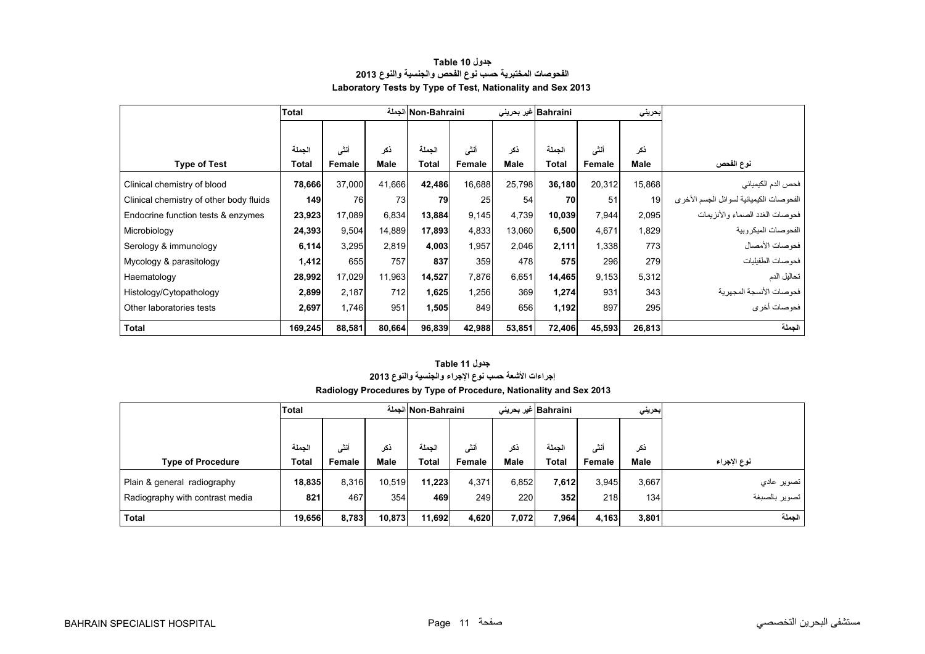<span id="page-9-0"></span>

|                                         | <b>Total</b> |        |             | Non-Bahraini الجملة |        |             | Bahraini غیر بحرینی |        | بحريني |                                         |
|-----------------------------------------|--------------|--------|-------------|---------------------|--------|-------------|---------------------|--------|--------|-----------------------------------------|
|                                         |              |        |             |                     |        |             |                     |        |        |                                         |
|                                         | الجملة       | أنشى   | ذكر         | الحملة              | أنشى   | ذكر         | الحملة              | أنشى   | ذكر    |                                         |
| <b>Type of Test</b>                     | Total        | Female | <b>Male</b> | <b>Total</b>        | Female | <b>Male</b> | Total               | Female | Male   | نوع الفحص                               |
| Clinical chemistry of blood             | 78,666       | 37,000 | 41,666      | 42,486              | 16,688 | 25,798      | 36,180              | 20,312 | 15,868 | فحص الدم الكيميائي                      |
| Clinical chemistry of other body fluids | 149          | 76     | 73          | 79                  | 25     | 54          | 70                  | 51     | 19     | الفحوصات الكيميائية لسوائل الجسم الأخرى |
| Endocrine function tests & enzymes      | 23,923       | 17,089 | 6,834       | 13,884              | 9,145  | 4,739       | 10,039              | 7,944  | 2,095  | فحو صبات الغدد الصماء و الأنز يمات      |
| Microbiology                            | 24,393       | 9,504  | 14,889      | 17,893              | 4,833  | 13.060      | 6,500               | 4,671  | 1,829  | الفحو صبات الميكر وبية                  |
| Serology & immunology                   | 6,114        | 3,295  | 2,819       | 4,003               | 1,957  | 2,046       | 2,111               | 1,338  | 773    | فحوصات الأمصال                          |
| Mycology & parasitology                 | 1,412        | 655    | 757         | 837                 | 359    | 478         | 575                 | 296    | 279    | فحو صات الطفيليات                       |
| Haematology                             | 28,992       | 17,029 | 11,963      | 14,527              | 7,876  | 6,651       | 14,465              | 9,153  | 5,312  | تحاليل الدم                             |
| Histology/Cytopathology                 | 2,899        | 2,187  | 712         | 1,625               | 1,256  | 369         | 1,274               | 931    | 343    | فحو صبات الأنسجة المجهر بة              |
| Other laboratories tests                | 2,697        | 1,746  | 951         | 1,505               | 849    | 656         | 1,192               | 897    | 295    | فحوصات أخرى                             |
| <b>Total</b>                            | 169,245      | 88,581 | 80,664      | 96,839              | 42,988 | 53,851      | 72,406              | 45,593 | 26,813 | الجملة                                  |

### **جدول 10 Table الفحوصات المختبرية حسب نوع الفحص والجنسية والنوع <sup>2013</sup> Laboratory Tests by Type of Test, Nationality and Sex 2013**

# **Radiology Procedures by Type of Procedure, Nationality and Sex 2013 جدول 11 Table إجراءات األشعة حسب نوع اإلجراء والجنسية والنوع <sup>2013</sup>**

|                                 | <b>Total</b> | Non-Bahraini الجملة |             |              |        |       | Bahraini  غیر بحرینی<br>إبحريني |        |             |               |
|---------------------------------|--------------|---------------------|-------------|--------------|--------|-------|---------------------------------|--------|-------------|---------------|
|                                 |              |                     |             |              |        |       |                                 |        |             |               |
|                                 | الحملة       | أنشى                | نكر         | الحملة       | أننسى  | ذكر   | الحملة                          | أنشى   | ذكر         |               |
| <b>Type of Procedure</b>        | Total        | Female              | <b>Male</b> | <b>Total</b> | Female | Male  | Total                           | Female | <b>Male</b> | نوع الإجراء   |
| Plain & general radiography     | 18,835       | 8,316               | 10,519      | 11,223       | 4,371  | 6,852 | 7,612                           | 3,945  | 3,667       | تصویر عادی    |
| Radiography with contrast media | 821          | 467                 | 354         | 469          | 249    | 220   | 352                             | 218    | 134         | تصوير بالصبغة |
| <b>Total</b>                    | 19,656       | 8,783               | 10,873      | 11,692       | 4,620  | 7,072 | 7,964                           | 4,163  | 3,801       | الجملة        |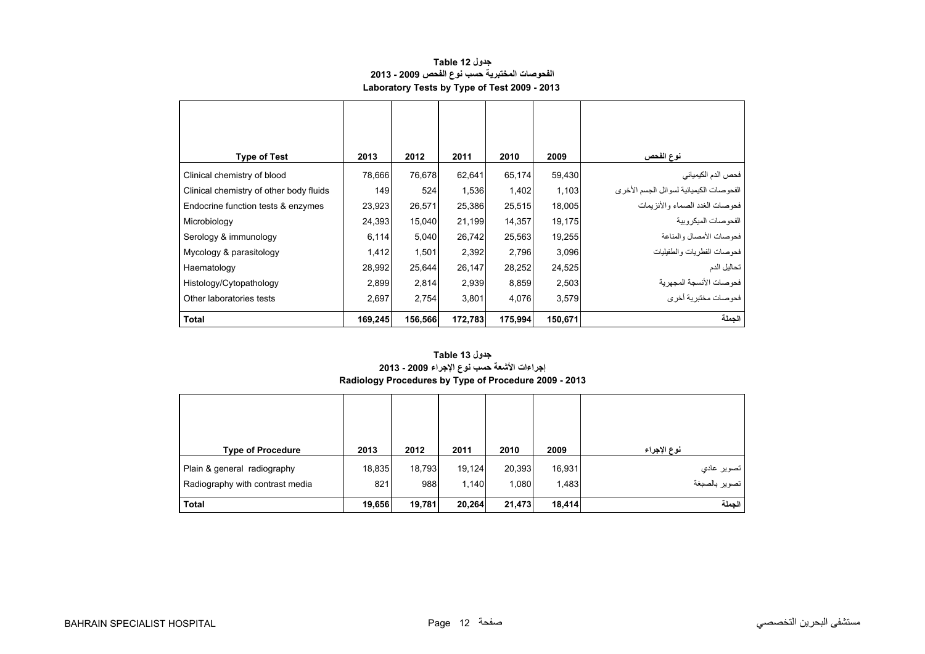| جدول Table 12                                |
|----------------------------------------------|
| الفحوصات المختبرية حسب نوع الفحص 2009 - 2013 |
| Laboratory Tests by Type of Test 2009 - 2013 |

<span id="page-10-0"></span>

| <b>Type of Test</b>                     | 2013    | 2012    | 2011    | 2010    | 2009    | نوع الفحص                               |
|-----------------------------------------|---------|---------|---------|---------|---------|-----------------------------------------|
| Clinical chemistry of blood             | 78,666  | 76,678  | 62,641  | 65,174  | 59,430  | فحص الدم الكيميائي                      |
| Clinical chemistry of other body fluids | 149     | 524     | 1,536   | 1,402   | 1,103   | الفحوصات الكيميائية لسوائل الجسم الأخرى |
| Endocrine function tests & enzymes      | 23,923  | 26,571  | 25,386  | 25,515  | 18,005  | فحوصات الغدد الصماء والأنزيمات          |
| Microbiology                            | 24,393  | 15,040  | 21,199  | 14,357  | 19,175  | الفحو صبات الميكر وبية                  |
| Serology & immunology                   | 6,114   | 5,040   | 26,742  | 25,563  | 19,255  | فحوصات الأمصال والمناعة                 |
| Mycology & parasitology                 | 1,412   | 1,501   | 2,392   | 2,796   | 3,096   | فحوصات الفطريات والطفيليات              |
| Haematology                             | 28,992  | 25,644  | 26,147  | 28,252  | 24,525  | تحاليل الدم                             |
| Histology/Cytopathology                 | 2,899   | 2,814   | 2,939   | 8,859   | 2,503   | فحوصات الأنسجة المجهرية                 |
| Other laboratories tests                | 2,697   | 2,754   | 3,801   | 4,076   | 3,579   | ۔<br>فحوصات مختبرية أخر ي               |
| <b>Total</b>                            | 169,245 | 156,566 | 172,783 | 175,994 | 150,671 | الجملة                                  |

#### **Radiology Procedures by Type of Procedure 2009 - 2013 جدول 13 Table إجراءات األشعة حسب نوع اإلجراء 2009 - 2013**

| <b>Type of Procedure</b>        | 2013   | 2012   | 2011   | 2010   | 2009   | نوع الإجراء   |
|---------------------------------|--------|--------|--------|--------|--------|---------------|
| Plain & general radiography     | 18,835 | 18,793 | 19,124 | 20,393 | 16,931 | تصوير عادي    |
| Radiography with contrast media | 821    | 988    | 1,140  | 1,080  | 1,483  | تصوير بالصبغة |
| <b>Total</b>                    | 19,656 | 19,781 | 20,264 | 21,473 | 18,414 | الحملة        |